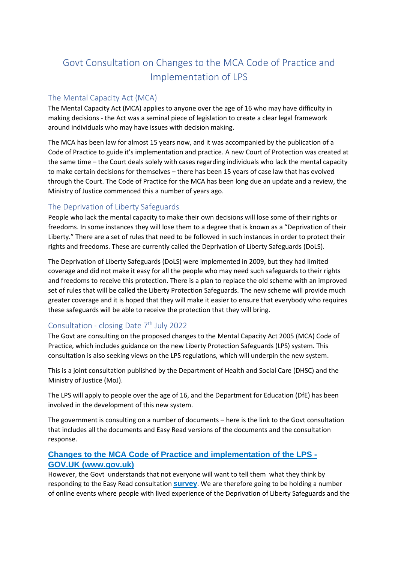# Govt Consultation on Changes to the MCA Code of Practice and Implementation of LPS

#### The Mental Capacity Act (MCA)

The Mental Capacity Act (MCA) applies to anyone over the age of 16 who may have difficulty in making decisions - the Act was a seminal piece of legislation to create a clear legal framework around individuals who may have issues with decision making.

The MCA has been law for almost 15 years now, and it was accompanied by the publication of a Code of Practice to guide it's implementation and practice. A new Court of Protection was created at the same time – the Court deals solely with cases regarding individuals who lack the mental capacity to make certain decisions for themselves – there has been 15 years of case law that has evolved through the Court. The Code of Practice for the MCA has been long due an update and a review, the Ministry of Justice commenced this a number of years ago.

## The Deprivation of Liberty Safeguards

People who lack the mental capacity to make their own decisions will lose some of their rights or freedoms. In some instances they will lose them to a degree that is known as a "Deprivation of their Liberty." There are a set of rules that need to be followed in such instances in order to protect their rights and freedoms. These are currently called the Deprivation of Liberty Safeguards (DoLS).

The Deprivation of Liberty Safeguards (DoLS) were implemented in 2009, but they had limited coverage and did not make it easy for all the people who may need such safeguards to their rights and freedoms to receive this protection. There is a plan to replace the old scheme with an improved set of rules that will be called the Liberty Protection Safeguards. The new scheme will provide much greater coverage and it is hoped that they will make it easier to ensure that everybody who requires these safeguards will be able to receive the protection that they will bring.

## Consultation - closing Date 7<sup>th</sup> July 2022

The Govt are consulting on the proposed changes to the Mental Capacity Act 2005 (MCA) Code of Practice, which includes guidance on the new Liberty Protection Safeguards (LPS) system. This consultation is also seeking views on the LPS regulations, which will underpin the new system.

This is a joint consultation published by the Department of Health and Social Care (DHSC) and the Ministry of Justice (MoJ).

The LPS will apply to people over the age of 16, and the Department for Education (DfE) has been involved in the development of this new system.

The government is consulting on a number of documents – here is the link to the Govt consultation that includes all the documents and Easy Read versions of the documents and the consultation response.

## **[Changes to the MCA Code of Practice and implementation of the LPS -](https://www.gov.uk/government/consultations/changes-to-the-mca-code-of-practice-and-implementation-of-the-lps)  [GOV.UK \(www.gov.uk\)](https://www.gov.uk/government/consultations/changes-to-the-mca-code-of-practice-and-implementation-of-the-lps)**

However, the Govt understands that not everyone will want to tell them what they think by responding to the Easy Read consultatio[n](http://email.dhsc-mail.co.uk/c/eJxdUMtqwzAQ_Br7FiNL8uvgQx6EEnoo5FDopayldSwiS64sp8nfd11yKEWvnR1mBq1uoepS03LGOZM5LcakzDpd8kYWvFFNrxqmE8n0MKvNCMZmymfLNR1aUVSSFYAKlcRS1gWvi6pRKGpWiRrq1LZDjNOciG3Cj7SVd_NiI0RDRbYaZhd_IzPiyrzTtUBWVjxHyRGY1BX0IhHHJY6fCsYJzMUl4vBqOgzxkfDdW_AR1epG4Aw9XhYIeibwN4ngho41N9T04n3CYNApXMENXSRB-ZvhXSRIEf_--uRH1GYZicaVejZnvwSyEocDThDiuBrwne_pekGwcaAC3Bp89soAyXZ7CJRdfk8ba9zVOI130udpaLfOYYyYvRvbPWjmCqzGoMHic1BpbM_33MDH4ZTw_XTU-AUdnH4AvpCUVg) **[survey](http://email.dhsc-mail.co.uk/c/eJxdUMtqwzAQ_Br7FiNL8uvgQx6EEnoo5FDopayldSwiS64sp8nfd11yKEWvnR1mBq1uoepS03LGOZM5LcakzDpd8kYWvFFNrxqmE8n0MKvNCMZmymfLNR1aUVSSFYAKlcRS1gWvi6pRKGpWiRrq1LZDjNOciG3Cj7SVd_NiI0RDRbYaZhd_IzPiyrzTtUBWVjxHyRGY1BX0IhHHJY6fCsYJzMUl4vBqOgzxkfDdW_AR1epG4Aw9XhYIeibwN4ngho41N9T04n3CYNApXMENXSRB-ZvhXSRIEf_--uRH1GYZicaVejZnvwSyEocDThDiuBrwne_pekGwcaAC3Bp89soAyXZ7CJRdfk8ba9zVOI130udpaLfOYYyYvRvbPWjmCqzGoMHic1BpbM_33MDH4ZTw_XTU-AUdnH4AvpCUVg)**. We are therefore going to be holding a number of online events where people with lived experience of the Deprivation of Liberty Safeguards and the